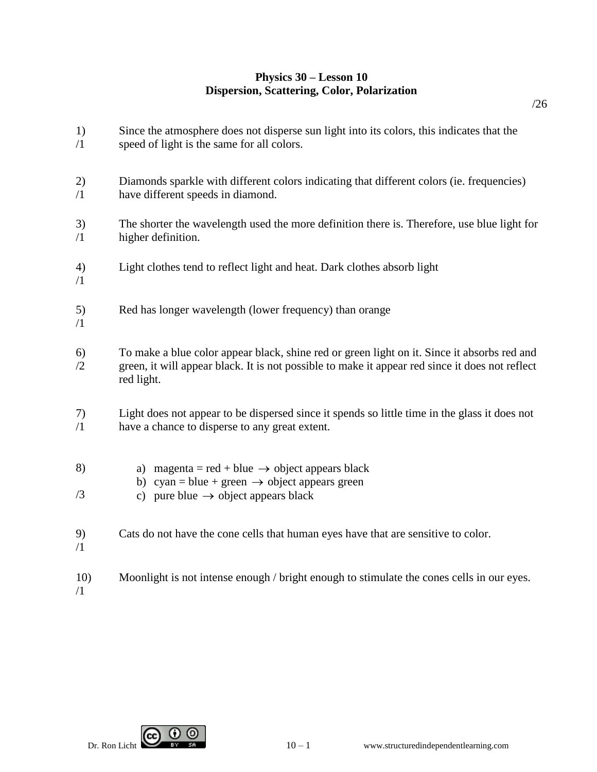## **Physics 30 – Lesson 10 Dispersion, Scattering, Color, Polarization**

Since the atmosphere does not disperse sun light into its colors, this indicates that the

/26

speed of light is the same for all colors. 2) /1 Diamonds sparkle with different colors indicating that different colors (ie. frequencies) have different speeds in diamond. 3) /1 The shorter the wavelength used the more definition there is. Therefore, use blue light for higher definition. 4) /1 Light clothes tend to reflect light and heat. Dark clothes absorb light 5) /1 Red has longer wavelength (lower frequency) than orange 6) /2 To make a blue color appear black, shine red or green light on it. Since it absorbs red and green, it will appear black. It is not possible to make it appear red since it does not reflect red light. 7) /1 Light does not appear to be dispersed since it spends so little time in the glass it does not have a chance to disperse to any great extent. 8) /3 a) magenta = red + blue  $\rightarrow$  object appears black b) cyan = blue + green  $\rightarrow$  object appears green c) pure blue  $\rightarrow$  object appears black 9) /1 Cats do not have the cone cells that human eyes have that are sensitive to color. 10) /1 Moonlight is not intense enough / bright enough to stimulate the cones cells in our eyes.



1) /1